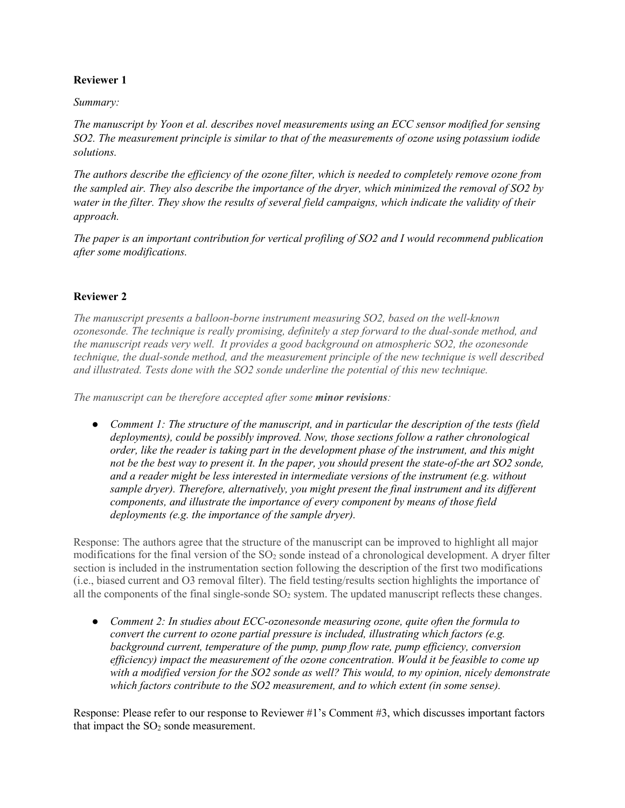## **Reviewer 1**

## *Summary:*

*The manuscript by Yoon et al. describes novel measurements using an ECC sensor modified for sensing SO2. The measurement principle is similar to that of the measurements of ozone using potassium iodide solutions.* 

*The authors describe the efficiency of the ozone filter, which is needed to completely remove ozone from the sampled air. They also describe the importance of the dryer, which minimized the removal of SO2 by water in the filter. They show the results of several field campaigns, which indicate the validity of their approach.* 

*The paper is an important contribution for vertical profiling of SO2 and I would recommend publication after some modifications.* 

## **Reviewer 2**

*The manuscript presents a balloon-borne instrument measuring SO2, based on the well-known ozonesonde. The technique is really promising, definitely a step forward to the dual-sonde method, and the manuscript reads very well. It provides a good background on atmospheric SO2, the ozonesonde technique, the dual-sonde method, and the measurement principle of the new technique is well described and illustrated. Tests done with the SO2 sonde underline the potential of this new technique.*

*The manuscript can be therefore accepted after some minor revisions:*

● *Comment 1: The structure of the manuscript, and in particular the description of the tests (field deployments), could be possibly improved. Now, those sections follow a rather chronological order, like the reader is taking part in the development phase of the instrument, and this might*  not be the best way to present it. In the paper, you should present the state-of-the art SO2 sonde, *and a reader might be less interested in intermediate versions of the instrument (e.g. without sample dryer). Therefore, alternatively, you might present the final instrument and its different components, and illustrate the importance of every component by means of those field deployments (e.g. the importance of the sample dryer).*

Response: The authors agree that the structure of the manuscript can be improved to highlight all major modifications for the final version of the SO<sub>2</sub> sonde instead of a chronological development. A dryer filter section is included in the instrumentation section following the description of the first two modifications (i.e., biased current and O3 removal filter). The field testing/results section highlights the importance of all the components of the final single-sonde  $SO<sub>2</sub>$  system. The updated manuscript reflects these changes.

● *Comment 2: In studies about ECC-ozonesonde measuring ozone, quite often the formula to convert the current to ozone partial pressure is included, illustrating which factors (e.g. background current, temperature of the pump, pump flow rate, pump efficiency, conversion efficiency) impact the measurement of the ozone concentration. Would it be feasible to come up with a modified version for the SO2 sonde as well? This would, to my opinion, nicely demonstrate which factors contribute to the SO2 measurement, and to which extent (in some sense).*

Response: Please refer to our response to Reviewer #1's Comment #3, which discusses important factors that impact the  $SO<sub>2</sub>$  sonde measurement.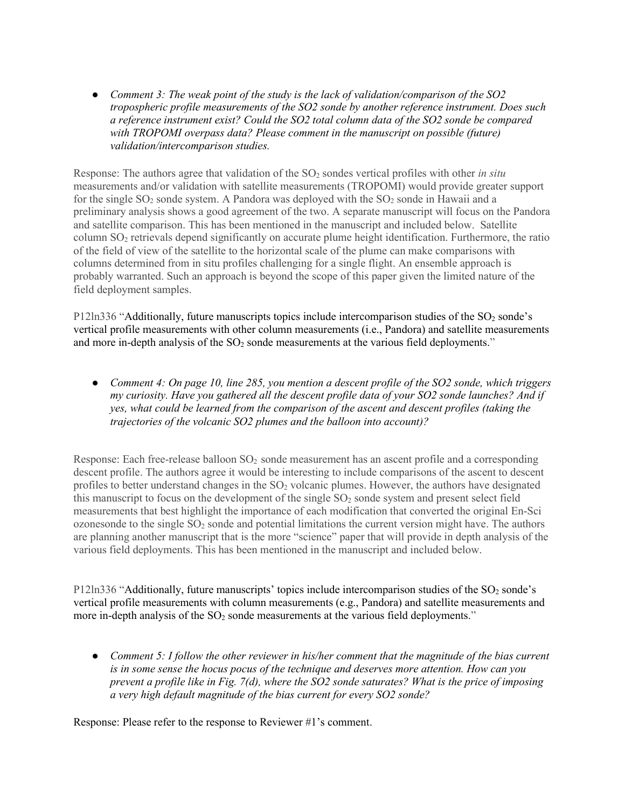● *Comment 3: The weak point of the study is the lack of validation/comparison of the SO2 tropospheric profile measurements of the SO2 sonde by another reference instrument. Does such a reference instrument exist? Could the SO2 total column data of the SO2 sonde be compared*  with TROPOMI overpass data? Please comment in the manuscript on possible (future) *validation/intercomparison studies.*

Response: The authors agree that validation of the SO2 sondes vertical profiles with other *in situ* measurements and/or validation with satellite measurements (TROPOMI) would provide greater support for the single  $SO_2$  sonde system. A Pandora was deployed with the  $SO_2$  sonde in Hawaii and a preliminary analysis shows a good agreement of the two. A separate manuscript will focus on the Pandora and satellite comparison. This has been mentioned in the manuscript and included below. Satellite column SO2 retrievals depend significantly on accurate plume height identification. Furthermore, the ratio of the field of view of the satellite to the horizontal scale of the plume can make comparisons with columns determined from in situ profiles challenging for a single flight. An ensemble approach is probably warranted. Such an approach is beyond the scope of this paper given the limited nature of the field deployment samples.

P12ln336 "Additionally, future manuscripts topics include intercomparison studies of the SO<sub>2</sub> sonde's vertical profile measurements with other column measurements (i.e., Pandora) and satellite measurements and more in-depth analysis of the  $SO<sub>2</sub>$  sonde measurements at the various field deployments."

● *Comment 4: On page 10, line 285, you mention a descent profile of the SO2 sonde, which triggers my curiosity. Have you gathered all the descent profile data of your SO2 sonde launches? And if yes, what could be learned from the comparison of the ascent and descent profiles (taking the trajectories of the volcanic SO2 plumes and the balloon into account)?*

Response: Each free-release balloon SO<sub>2</sub> sonde measurement has an ascent profile and a corresponding descent profile. The authors agree it would be interesting to include comparisons of the ascent to descent profiles to better understand changes in the SO2 volcanic plumes. However, the authors have designated this manuscript to focus on the development of the single  $SO_2$  sonde system and present select field measurements that best highlight the importance of each modification that converted the original En-Sci ozonesonde to the single  $SO<sub>2</sub>$  sonde and potential limitations the current version might have. The authors are planning another manuscript that is the more "science" paper that will provide in depth analysis of the various field deployments. This has been mentioned in the manuscript and included below.

P12ln336 "Additionally, future manuscripts' topics include intercomparison studies of the SO<sub>2</sub> sonde's vertical profile measurements with column measurements (e.g., Pandora) and satellite measurements and more in-depth analysis of the SO<sub>2</sub> sonde measurements at the various field deployments."

● *Comment 5: I follow the other reviewer in his/her comment that the magnitude of the bias current is in some sense the hocus pocus of the technique and deserves more attention. How can you prevent a profile like in Fig. 7(d), where the SO2 sonde saturates? What is the price of imposing a very high default magnitude of the bias current for every SO2 sonde?*

Response: Please refer to the response to Reviewer #1's comment.